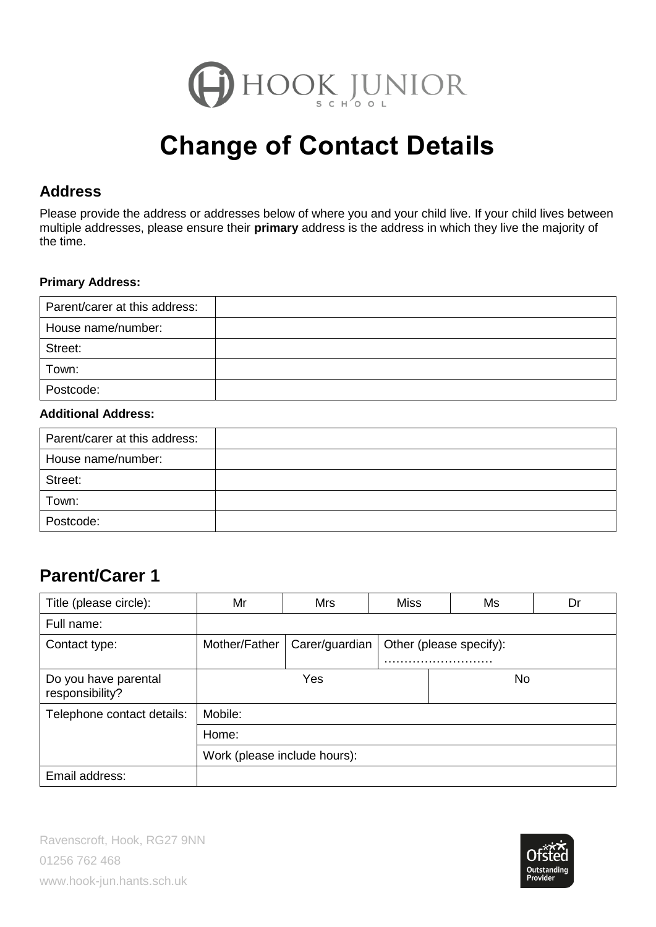

# **Change of Contact Details**

#### **Address**

Please provide the address or addresses below of where you and your child live. If your child lives between multiple addresses, please ensure their **primary** address is the address in which they live the majority of the time.

#### **Primary Address:**

| Parent/carer at this address: |  |
|-------------------------------|--|
| House name/number:            |  |
| Street:                       |  |
| Town:                         |  |
| Postcode:                     |  |

#### **Additional Address:**

| Parent/carer at this address: |  |
|-------------------------------|--|
| House name/number:            |  |
| Street:                       |  |
| Town:                         |  |
| Postcode:                     |  |

## **Parent/Carer 1**

| Title (please circle):                  | Mr                                                         | <b>Mrs</b> | Miss | Ms  | Dr |  |
|-----------------------------------------|------------------------------------------------------------|------------|------|-----|----|--|
| Full name:                              |                                                            |            |      |     |    |  |
| Contact type:                           | Carer/guardian<br>Mother/Father<br>Other (please specify): |            |      |     |    |  |
| Do you have parental<br>responsibility? | Yes                                                        |            |      | No. |    |  |
| Telephone contact details:              | Mobile:                                                    |            |      |     |    |  |
|                                         | Home:                                                      |            |      |     |    |  |
|                                         | Work (please include hours):                               |            |      |     |    |  |
| Email address:                          |                                                            |            |      |     |    |  |